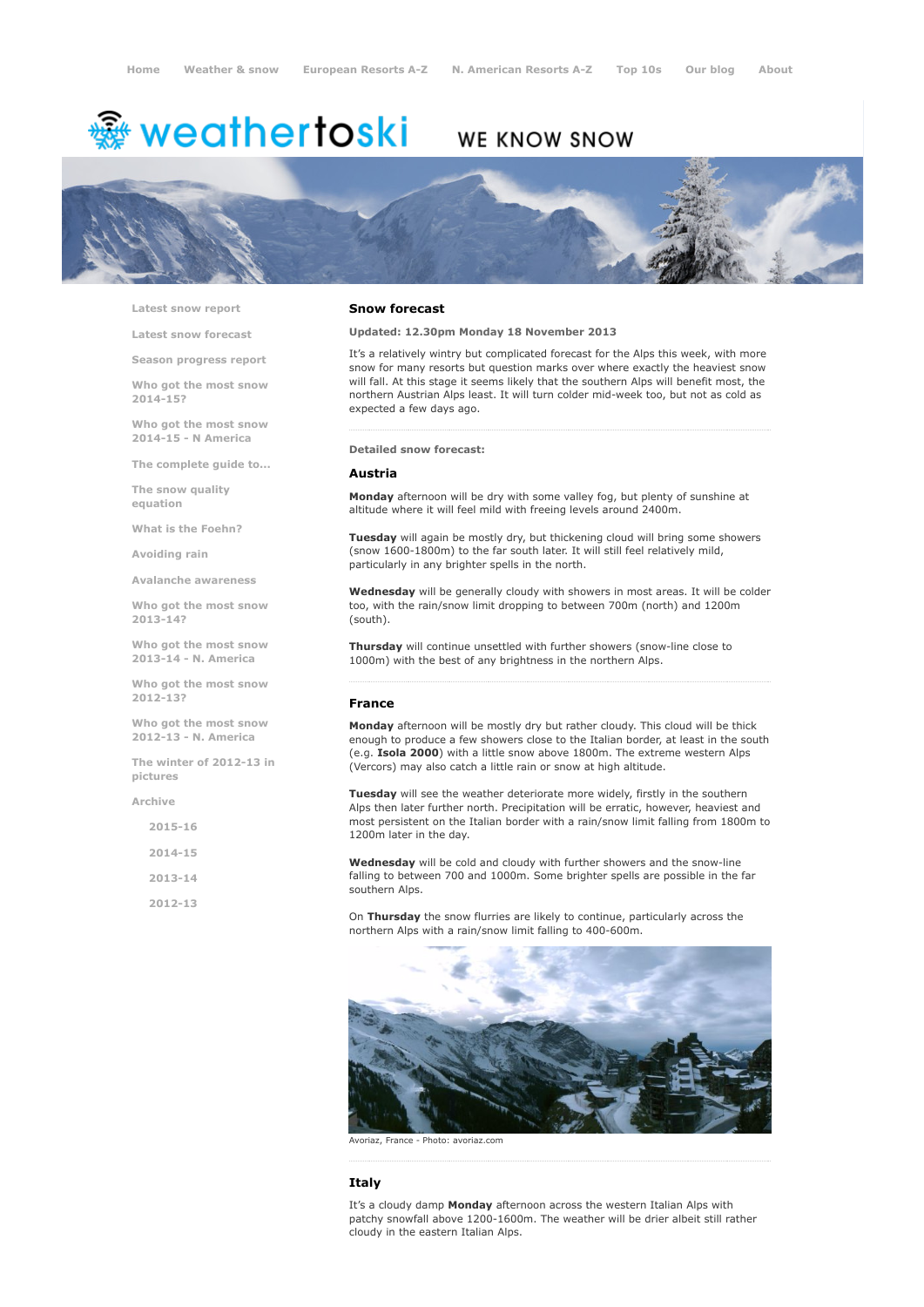# <del>靈</del> weathertoski

## WE KNOW SNOW



Latest snow [report](http://www.weathertoski.co.uk/weather-snow/latest-snow-report/)

Latest snow [forecast](http://www.weathertoski.co.uk/weather-snow/latest-snow-forecast/)

Season [progress](http://www.weathertoski.co.uk/weather-snow/season-progress-report/) report

Who got the most snow 2014-15?

Who got the most snow 2014-15 - N America

The [complete](http://www.weathertoski.co.uk/weather-snow/the-complete-guide-to/) guide to...

The snow quality [equation](http://www.weathertoski.co.uk/weather-snow/the-snow-quality-equation/)

What is the [Foehn?](http://www.weathertoski.co.uk/weather-snow/what-is-the-foehn/)

[Avoiding](http://www.weathertoski.co.uk/weather-snow/avoiding-rain/) rain

Avalanche [awareness](http://www.weathertoski.co.uk/weather-snow/avalanche-awareness/)

Who got the most snow 2013-14?

Who got the most snow 2013-14 - N. America

Who got the most snow 2012-13?

Who got the most snow 2012-13 - N. America

The winter of 2012-13 in pictures

[Archive](http://www.weathertoski.co.uk/weather-snow/archive/)

| $2015 - 16$ |  |
|-------------|--|
| 2014-15     |  |
| $2013 - 14$ |  |
| 2012-13     |  |

### Snow forecast

Updated: 12.30pm Monday 18 November 2013

It's a relatively wintry but complicated forecast for the Alps this week, with more snow for many resorts but question marks over where exactly the heaviest snow will fall. At this stage it seems likely that the southern Alps will benefit most, the northern Austrian Alps least. It will turn colder mid-week too, but not as cold as expected a few days ago.

#### Detailed snow forecast:

#### Austria

Monday afternoon will be dry with some valley fog, but plenty of sunshine at altitude where it will feel mild with freeing levels around 2400m.

Tuesday will again be mostly dry, but thickening cloud will bring some showers (snow 1600-1800m) to the far south later. It will still feel relatively mild, particularly in any brighter spells in the north.

Wednesday will be generally cloudy with showers in most areas. It will be colder too, with the rain/snow limit dropping to between 700m (north) and 1200m (south).

Thursday will continue unsettled with further showers (snowline close to 1000m) with the best of any brightness in the northern Alps.

#### France

Monday afternoon will be mostly dry but rather cloudy. This cloud will be thick enough to produce a few showers close to the Italian border, at least in the south (e.g. Isola 2000) with a little snow above 1800m. The extreme western Alps (Vercors) may also catch a little rain or snow at high altitude.

Tuesday will see the weather deteriorate more widely, firstly in the southern Alps then later further north. Precipitation will be erratic, however, heaviest and most persistent on the Italian border with a rain/snow limit falling from 1800m to 1200m later in the day.

Wednesday will be cold and cloudy with further showers and the snow-line falling to between 700 and 1000m. Some brighter spells are possible in the far southern Alps.

On Thursday the snow flurries are likely to continue, particularly across the northern Alps with a rain/snow limit falling to 400-600m.



Avoriaz, France - Photo: avoriaz.com

#### Italy

It's a cloudy damp Monday afternoon across the western Italian Alps with patchy snowfall above 1200-1600m. The weather will be drier albeit still rather cloudy in the eastern Italian Alps.